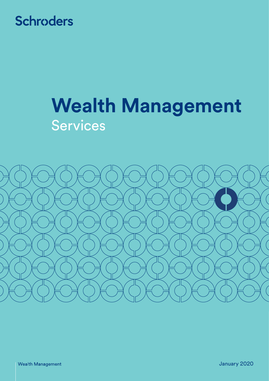## **Schroders**

# **Wealth Management** Services



January 2020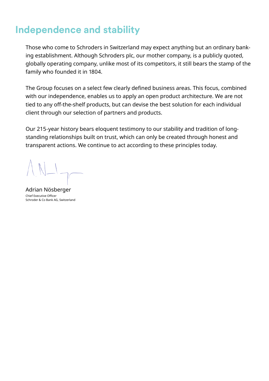### **Independence and stability**

Those who come to Schroders in Switzerland may expect anything but an ordinary banking establishment. Although Schroders plc, our mother company, is a publicly quoted, globally operating company, unlike most of its competitors, it still bears the stamp of the family who founded it in 1804.

The Group focuses on a select few clearly defined business areas. This focus, combined with our independence, enables us to apply an open product architecture. We are not tied to any off-the-shelf products, but can devise the best solution for each individual client through our selection of partners and products.

Our 215-year history bears eloquent testimony to our stability and tradition of long-standing relationships built on trust, which can only be created through honest and transparent actions. We continue to act according to these principles today.

Adrian Nösberger Chief Executive Officer Schroder & Co Bank AG, Switzerland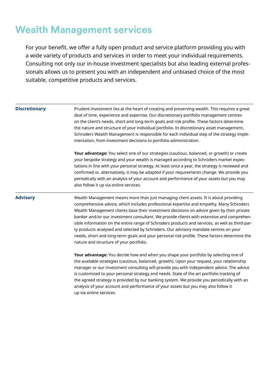### **Wealth Management services**

For your benefit, we offer a fully open product and service platform providing you with a wide variety of products and services in order to meet your individual requirements. Consulting not only our in-house investment specialists but also leading external professionals allows us to present you with an independent and unbiased choice of the most suitable, competitive products and services.

| <b>Discretionary</b> | Prudent investment lies at the heart of creating and preserving wealth. This requires a great<br>deal of time, experience and expertise. Our discretionary portfolio management centres<br>on the client's needs, short and long-term goals and risk profile. These factors determine<br>the nature and structure of your individual portfolio. In discretionary asset management,<br>Schroders Wealth Management is responsible for each individual step of the strategy imple-<br>mentation, from investment decisions to portfolio administration.                                                                                                                                                            |
|----------------------|------------------------------------------------------------------------------------------------------------------------------------------------------------------------------------------------------------------------------------------------------------------------------------------------------------------------------------------------------------------------------------------------------------------------------------------------------------------------------------------------------------------------------------------------------------------------------------------------------------------------------------------------------------------------------------------------------------------|
|                      | Your advantage: You select one of our strategies (cautious, balanced, or growth) or create<br>your bespoke strategy and your wealth is managed according to Schroders market expec-<br>tations in line with your personal strategy. At least once a year, the strategy is reviewed and<br>confirmed or, alternatively, it may be adapted if your requirements change. We provide you<br>periodically with an analysis of your account and performance of your assets but you may<br>also follow it up via online services.                                                                                                                                                                                       |
| <b>Advisory</b>      | Wealth Management means more than just managing client assets. It is about providing<br>comprehensive advice, which includes professional expertise and empathy. Many Schroders<br>Wealth Management clients base their investment decisions on advice given by their private<br>banker and/or our investment consultant. We provide clients with extensive and comprehen-<br>sible information on the entire range of Schroders products and services, as well as third-par-<br>ty products analysed and selected by Schroders. Our advisory mandate centres on your<br>needs, short and long-term goals and your personal risk profile. These factors determine the<br>nature and structure of your portfolio. |
|                      | Your advantage: You decide how and when you shape your portfolio by selecting one of<br>the available strategies (cautious, balanced, growth). Upon your request, your relationship<br>manager or our investment consulting will provide you with independent advice. The advice<br>is customized to your personal strategy and needs. State of the art portfolio tracking of<br>the agreed strategy is provided by our banking system. We provide you periodically with an<br>analysis of your account and performance of your assets but you may also follow it<br>up via online services.                                                                                                                     |